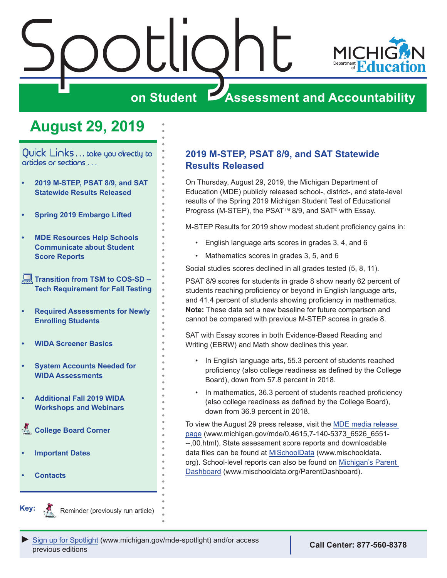<span id="page-0-0"></span>

## **August 29, 2019**

Quick Links . . . take you directly to articles or sections . . .

- **• 2019 M-STEP, PSAT 8/9, and SAT Statewide Results Released**
- **• [Spring 2019 Embargo Lifted](#page-1-0)**
- **• [MDE Resources Help Schools](#page-3-0)  [Communicate about Student](#page-3-0)  [Score Reports](#page-3-0)**
- **[Transition from TSM to COS-SD](#page-3-0)  [Tech Requirement for Fall Testing](#page-3-0)**
- **• [Required Assessments for Newly](#page-3-0)  [Enrolling Students](#page-3-0)**
- **• [WIDA Screener Basics](#page-4-0)**
- **• [System Accounts Needed for](#page-4-0)  [WIDA Assessments](#page-4-0)**
- **• [Additional Fall 2019 WIDA](#page-4-0)  [Workshops and Webinars](#page-4-0)**
- **College Board Corner**
- **• [Important Dates](#page-8-0)**
- **• [Contacts](#page-9-0)**

### **2019 M-STEP, PSAT 8/9, and SAT Statewide Results Released**

On Thursday, August 29, 2019, the Michigan Department of Education (MDE) publicly released school-, district-, and state-level results of the Spring 2019 Michigan Student Test of Educational Progress (M-STEP), the PSAT™ 8/9, and SAT® with Essay.

M-STEP Results for 2019 show modest student proficiency gains in:

- English language arts scores in grades 3, 4, and 6
- Mathematics scores in grades 3, 5, and 6

Social studies scores declined in all grades tested (5, 8, 11).

PSAT 8/9 scores for students in grade 8 show nearly 62 percent of students reaching proficiency or beyond in English language arts, and 41.4 percent of students showing proficiency in mathematics. **Note:** These data set a new baseline for future comparison and cannot be compared with previous M-STEP scores in grade 8.

SAT with Essay scores in both Evidence-Based Reading and Writing (EBRW) and Math show declines this year.

- In English language arts, 55.3 percent of students reached proficiency (also college readiness as defined by the College Board), down from 57.8 percent in 2018.
- In mathematics, 36.3 percent of students reached proficiency (also college readiness as defined by the College Board), down from 36.9 percent in 2018.

To view the August 29 press release, visit the [MDE media release](http://www.michigan.gov/mde/0,4615,7-140-5373_6526_6551---,00.html)  [page](http://www.michigan.gov/mde/0,4615,7-140-5373_6526_6551---,00.html) (www.michigan.gov/mde/0,4615,7-140-5373\_6526\_6551- --,00.html). State assessment score reports and downloadable data files can be found at [MiSchoolData](https://www.mischooldata.org/) (www.mischooldata. org). School-level reports can also be found on [Michigan's Parent](http://www.mischooldata.org/ParentDashboard)  [Dashboard](http://www.mischooldata.org/ParentDashboard) (www.mischooldata.org/ParentDashboard).



Reminder (previously run article)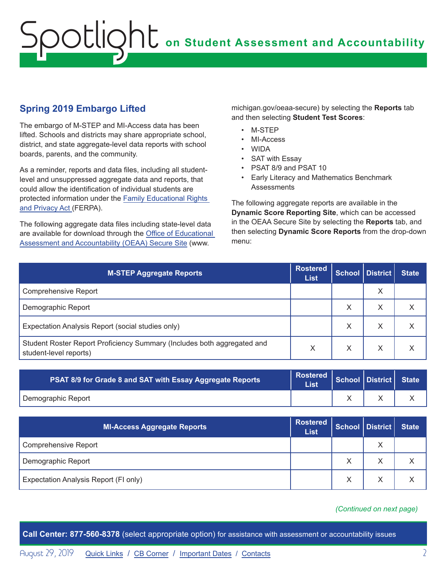## <span id="page-1-0"></span>**Spring 2019 Embargo Lifted**

The embargo of M-STEP and MI-Access data has been lifted. Schools and districts may share appropriate school, district, and state aggregate-level data reports with school boards, parents, and the community.

As a reminder, reports and data files, including all studentlevel and unsuppressed aggregate data and reports, that could allow the identification of individual students are protected information under the [Family Educational Rights](https://www2.ed.gov/policy/gen/guid/fpco/ferpa/index.html)  [and Privacy Act \(](https://www2.ed.gov/policy/gen/guid/fpco/ferpa/index.html)FERPA).

The following aggregate data files including state-level data are available for download through the [Office of Educational](http://www.michigan.gov/oeaa-secure)  [Assessment and Accountability \(OEAA\) Secure Site](http://www.michigan.gov/oeaa-secure) (www.

michigan.gov/oeaa-secure) by selecting the **Reports** tab and then selecting **Student Test Scores**:

- M-STEP
- MI-Access
- WIDA
- SAT with Essay
- PSAT 8/9 and PSAT 10
- Early Literacy and Mathematics Benchmark **Assessments**

The following aggregate reports are available in the **Dynamic Score Reporting Site**, which can be accessed in the OEAA Secure Site by selecting the **Reports** tab, and then selecting **Dynamic Score Reports** from the drop-down menu:

| <b>M-STEP Aggregate Reports</b>                                                                   | <b>Rostered</b><br><b>List</b> |   | School   District | <b>State</b> |
|---------------------------------------------------------------------------------------------------|--------------------------------|---|-------------------|--------------|
| <b>Comprehensive Report</b>                                                                       |                                |   | X                 |              |
| Demographic Report                                                                                |                                | Χ | Χ                 | ∧            |
| Expectation Analysis Report (social studies only)                                                 |                                | X | X                 | X            |
| Student Roster Report Proficiency Summary (Includes both aggregated and<br>student-level reports) | X                              | X | X                 |              |

| PSAT 8/9 for Grade 8 and SAT with Essay Aggregate Reports | $\left \begin{array}{c} \text{Rostered} \\ \text{1.11} \end{array}\right $ School District State<br>List |  |  |
|-----------------------------------------------------------|----------------------------------------------------------------------------------------------------------|--|--|
| Demographic Report                                        |                                                                                                          |  |  |

| <b>MI-Access Aggregate Reports</b>    | <b>Rostered</b><br><b>List</b> |   | School District | <b>State</b> |
|---------------------------------------|--------------------------------|---|-----------------|--------------|
| Comprehensive Report                  |                                |   | Χ               |              |
| Demographic Report                    |                                | Χ | ⋏               |              |
| Expectation Analysis Report (FI only) |                                |   |                 |              |

*(Continued on next page)*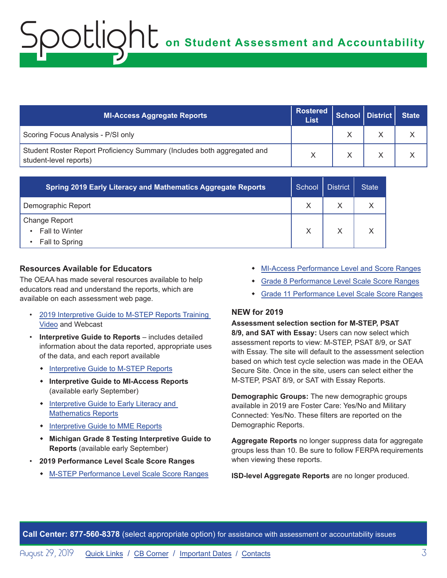| <b>MI-Access Aggregate Reports</b>                                                                | Rostered  <br><b>List</b> | School District State |  |
|---------------------------------------------------------------------------------------------------|---------------------------|-----------------------|--|
| Scoring Focus Analysis - P/SI only                                                                |                           |                       |  |
| Student Roster Report Proficiency Summary (Includes both aggregated and<br>student-level reports) |                           |                       |  |

| <b>Spring 2019 Early Literacy and Mathematics Aggregate Reports</b> | School | <b>District</b> | <b>State</b> |
|---------------------------------------------------------------------|--------|-----------------|--------------|
| Demographic Report                                                  |        |                 |              |
| Change Report                                                       |        |                 |              |
| Fall to Winter<br>$\bullet$                                         | X      |                 |              |
| Fall to Spring<br>$\bullet$                                         |        |                 |              |

#### **Resources Available for Educators**

The OEAA has made several resources available to help educators read and understand the reports, which are available on each assessment web page.

- [2019 Interpretive Guide to M-STEP Reports Training](https://www.youtube.com/watch?v=PucqRjCzHMQ&feature=youtu.be)  [Video](https://www.youtube.com/watch?v=PucqRjCzHMQ&feature=youtu.be) and Webcast
- **Interpretive Guide to Reports** includes detailed information about the data reported, appropriate uses of the data, and each report available
	- [Interpretive Guide to M-STEP Reports](https://www.michigan.gov/documents/mde/2019_Interpretive_Guide_to_M-STEP_Reports_661956_7.pdf)
	- w **Interpretive Guide to MI-Access Reports**  (available early September)
	- Interpretive Guide to Early Literacy and [Mathematics Reports](https://www.michigan.gov/documents/mde/19-20_Interpretive_Guide_to_Early_Literacy_and_Mathematics_Reports_662553_7.pdf)
	- [Interpretive Guide to MME Reports](https://www.michigan.gov/documents/mde/2019_Interpretive_Guide_to_MME_Reports_664597_7.pdf)
	- **\*** Michigan Grade 8 Testing Interpretive Guide to **Reports** (available early September)
- **2019 Performance Level Scale Score Ranges** 
	- w [M-STEP Performance Level Scale Score Ranges](https://www.michigan.gov/documents/mde/M-STEP_Performance_Level_Scale_Score_Ranges_629179_7.pdf)
- [MI-Access Performance Level and Score Ranges](https://www.michigan.gov/documents/mde/MI-Access_Performance_Levels_and_Score_Ranges_629180_7.pdf)
- **+** [Grade 8 Performance Level Scale Score Ranges](https://www.michigan.gov/documents/mde/Grade_8_Performance_Level_Scale_Score_Ranges_663429_7.pdf)
- **+ [Grade 11 Performance Level Scale Score Ranges](https://www.michigan.gov/documents/mde/MME_Performance_Level_Scale_Score_Ranges_663430_7.pdf)**

#### **NEW for 2019**

#### **Assessment selection section for M-STEP, PSAT**

**8/9, and SAT with Essay:** Users can now select which assessment reports to view: M-STEP, PSAT 8/9, or SAT with Essay. The site will default to the assessment selection based on which test cycle selection was made in the OEAA Secure Site. Once in the site, users can select either the M-STEP, PSAT 8/9, or SAT with Essay Reports.

**Demographic Groups:** The new demographic groups available in 2019 are Foster Care: Yes/No and Military Connected: Yes/No. These filters are reported on the Demographic Reports.

**Aggregate Reports** no longer suppress data for aggregate groups less than 10. Be sure to follow FERPA requirements when viewing these reports.

**ISD-level Aggregate Reports** are no longer produced.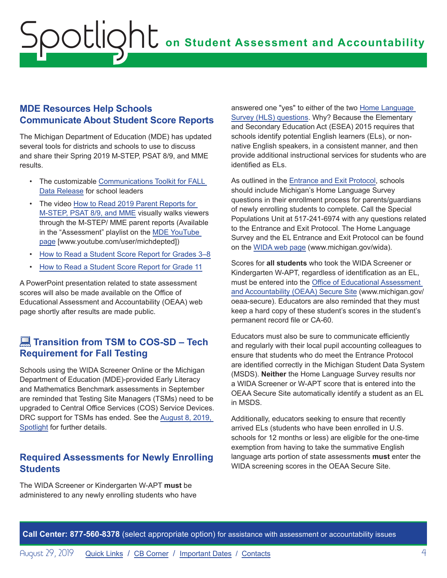### <span id="page-3-0"></span>**MDE Resources Help Schools Communicate About Student Score Reports**

The Michigan Department of Education (MDE) has updated several tools for districts and schools to use to discuss and share their Spring 2019 M-STEP, PSAT 8/9, and MME results.

- The customizable [Communications Toolkit for FALL](https://www.michigan.gov/documents/mde/2019_M-STEP-MME_Spring_Communications_Toolkit_Final_647497_7.docx)  [Data Release](https://www.michigan.gov/documents/mde/2019_M-STEP-MME_Spring_Communications_Toolkit_Final_647497_7.docx) for school leaders
- The video [How to Read 2019 Parent Reports for](https://www.youtube.com/watch?v=K-ELmZpSht8&list=PLQNv-MrTjyhLZWGC8WhRGxoEmynfXUHuc&index=1)  [M-STEP, PSAT 8/9, and MME](https://www.youtube.com/watch?v=K-ELmZpSht8&list=PLQNv-MrTjyhLZWGC8WhRGxoEmynfXUHuc&index=1) visually walks viewers through the M-STEP/ MME parent reports (Available in the "Assessment" playlist on the [MDE YouTube](http://www.youtube.com/user/michdepted)  [page](http://www.youtube.com/user/michdepted) [www.youtube.com/user/michdepted])
- [How to Read a Student Score Report for Grades 3–8](http://www.michigan.gov/documents/mde/How_to_Read_Score_Report_Grades_3-8_531963_7.pdf)
- [How to Read a Student Score Report for Grade 11](http://www.michigan.gov/documents/mde/How_to_Read_Score_Report_Grade_11_Final_531964_7.pdf)

A PowerPoint presentation related to state assessment scores will also be made available on the Office of Educational Assessment and Accountability (OEAA) web page shortly after results are made public.

## **Transition from TSM to COS-SD – Tech Requirement for Fall Testing**

Schools using the WIDA Screener Online or the Michigan Department of Education (MDE)-provided Early Literacy and Mathematics Benchmark assessments in September are reminded that Testing Site Managers (TSMs) need to be upgraded to Central Office Services (COS) Service Devices. DRC support for TSMs has ended. See the [August 8, 2019,](https://www.michigan.gov/documents/mde/Spotlight_8-8-19_662786_7.pdf)  [Spotlight](https://www.michigan.gov/documents/mde/Spotlight_8-8-19_662786_7.pdf) for further details.

### **Required Assessments for Newly Enrolling Students**

The WIDA Screener or Kindergarten W-APT **must** be administered to any newly enrolling students who have answered one "yes" to either of the two [Home Language](https://www.michigan.gov/documents/mde/English_Home_Language_Survey_485363_7.pdf)  [Survey \(HLS\) questions](https://www.michigan.gov/documents/mde/English_Home_Language_Survey_485363_7.pdf). Why? Because the Elementary and Secondary Education Act (ESEA) 2015 requires that schools identify potential English learners (ELs), or nonnative English speakers, in a consistent manner, and then provide additional instructional services for students who are identified as ELs.

As outlined in the [Entrance and Exit Protocol,](https://www.michigan.gov/mde/0,4615,7-140-81376_51051-252886--,00.html) schools should include Michigan's Home Language Survey questions in their enrollment process for parents/guardians of newly enrolling students to complete. Call the Special Populations Unit at 517-241-6974 with any questions related to the Entrance and Exit Protocol. The Home Language Survey and the EL Entrance and Exit Protocol can be found on the [WIDA web page](www.michigan.gov/wida) (www.michigan.gov/wida).

Scores for **all students** who took the WIDA Screener or Kindergarten W-APT, regardless of identification as an EL, must be entered into the [Office of Educational Assessment](http://www.michigan.gov/oeaa-secure)  [and Accountability \(OEAA\) Secure Site](http://www.michigan.gov/oeaa-secure) (www.michigan.gov/ oeaa-secure). Educators are also reminded that they must keep a hard copy of these student's scores in the student's permanent record file or CA-60.

Educators must also be sure to communicate efficiently and regularly with their local pupil accounting colleagues to ensure that students who do meet the Entrance Protocol are identified correctly in the Michigan Student Data System (MSDS). **Neither** the Home Language Survey results nor a WIDA Screener or W-APT score that is entered into the OEAA Secure Site automatically identify a student as an EL in MSDS.

Additionally, educators seeking to ensure that recently arrived ELs (students who have been enrolled in U.S. schools for 12 months or less) are eligible for the one-time exemption from having to take the summative English language arts portion of state assessments **must** enter the WIDA screening scores in the OEAA Secure Site.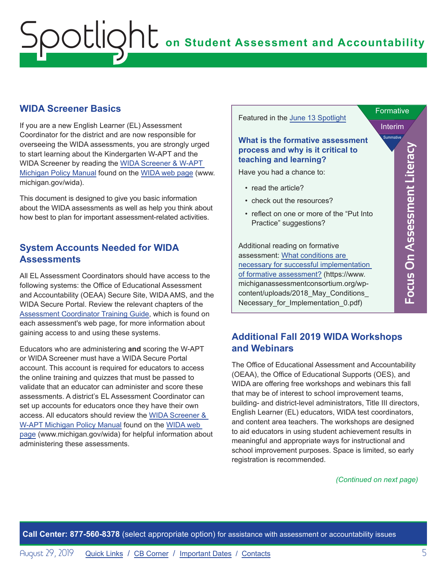### <span id="page-4-0"></span>**WIDA Screener Basics**

If you are a new English Learner (EL) Assessment Coordinator for the district and are now responsible for overseeing the WIDA assessments, you are strongly urged to start learning about the Kindergarten W-APT and the WIDA Screener by reading the [WIDA Screener & W-APT](https://www.michigan.gov/documents/mde/WIDA_Screener_and_W-APT_Michigan_Policy_Manual_635005_7.pdf)  [Michigan Policy Manual](https://www.michigan.gov/documents/mde/WIDA_Screener_and_W-APT_Michigan_Policy_Manual_635005_7.pdf) found on the [WIDA web page](www.michigan.gov/wida) (www. michigan.gov/wida).

This document is designed to give you basic information about the WIDA assessments as well as help you think about how best to plan for important assessment-related activities.

### **System Accounts Needed for WIDA Assessments**

All EL Assessment Coordinators should have access to the following systems: the Office of Educational Assessment and Accountability (OEAA) Secure Site, WIDA AMS, and the WIDA Secure Portal. Review the relevant chapters of the [Assessment Coordinator Training Guide](https://www.michigan.gov/mde/0,4615,7-140-22709_63192-476290--,00.html), which is found on each assessment's web page, for more information about gaining access to and using these systems.

Educators who are administering **and** scoring the W-APT or WIDA Screener must have a WIDA Secure Portal account. This account is required for educators to access the online training and quizzes that must be passed to validate that an educator can administer and score these assessments. A district's EL Assessment Coordinator can set up accounts for educators once they have their own access. All educators should review the [WIDA Screener &](https://www.michigan.gov/documents/mde/WIDA_Screener_and_W-APT_Michigan_Policy_Manual_635005_7.pdf)  [W-APT Michigan Policy Manual](https://www.michigan.gov/documents/mde/WIDA_Screener_and_W-APT_Michigan_Policy_Manual_635005_7.pdf) found on the [WIDA web](www.michigan.gov/wida)  [page](www.michigan.gov/wida) (www.michigan.gov/wida) for helpful information about administering these assessments.



## **Additional Fall 2019 WIDA Workshops and Webinars**

The Office of Educational Assessment and Accountability (OEAA), the Office of Educational Supports (OES), and WIDA are offering free workshops and webinars this fall that may be of interest to school improvement teams, building- and district-level administrators, Title III directors, English Learner (EL) educators, WIDA test coordinators, and content area teachers. The workshops are designed to aid educators in using student achievement results in meaningful and appropriate ways for instructional and school improvement purposes. Space is limited, so early registration is recommended.

#### *(Continued on next page)*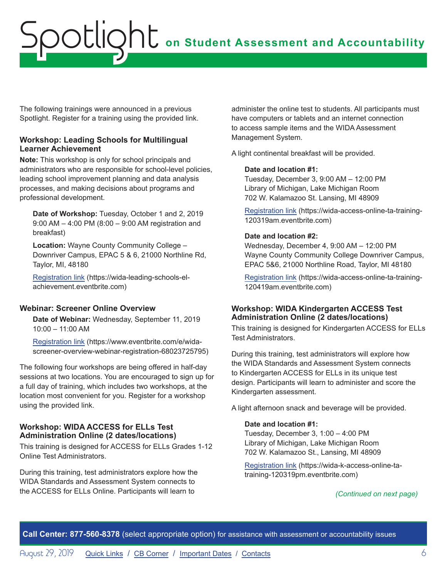The following trainings were announced in a previous Spotlight. Register for a training using the provided link.

#### **Workshop: Leading Schools for Multilingual Learner Achievement**

**Note:** This workshop is only for school principals and administrators who are responsible for school-level policies, leading school improvement planning and data analysis processes, and making decisions about programs and professional development.

**Date of Workshop:** Tuesday, October 1 and 2, 2019 9:00 AM – 4:00 PM (8:00 – 9:00 AM registration and breakfast)

**Location:** Wayne County Community College – Downriver Campus, EPAC 5 & 6, 21000 Northline Rd, Taylor, MI, 48180

[Registration link](https://wida-leading-schools-el-achievement.eventbrite.com) (https://wida-leading-schools-elachievement.eventbrite.com)

#### **Webinar: Screener Online Overview**

**Date of Webinar:** Wednesday, September 11, 2019 10:00 – 11:00 AM

[Registration link](https://www.eventbrite.com/e/wida-screener-overview-webinar-registration-68023725795) (https://www.eventbrite.com/e/widascreener-overview-webinar-registration-68023725795)

The following four workshops are being offered in half-day sessions at two locations. You are encouraged to sign up for a full day of training, which includes two workshops, at the location most convenient for you. Register for a workshop using the provided link.

#### **Workshop: WIDA ACCESS for ELLs Test Administration Online (2 dates/locations)**

This training is designed for ACCESS for ELLs Grades 1-12 Online Test Administrators.

During this training, test administrators explore how the WIDA Standards and Assessment System connects to the ACCESS for ELLs Online. Participants will learn to

administer the online test to students. All participants must have computers or tablets and an internet connection to access sample items and the WIDA Assessment Management System.

A light continental breakfast will be provided.

#### **Date and location #1:**

Tuesday, December 3, 9:00 AM – 12:00 PM Library of Michigan, Lake Michigan Room 702 W. Kalamazoo St. Lansing, MI 48909

[Registration link](https://wida-access-online-ta-training-120319am.eventbrite.com) (https://wida-access-online-ta-training-120319am.eventbrite.com)

#### **Date and location #2:**

Wednesday, December 4, 9:00 AM – 12:00 PM Wayne County Community College Downriver Campus, EPAC 5&6, 21000 Northline Road, Taylor, MI 48180

[Registration link](https://wida-access-online-ta-training-120419am.eventbrite.com) (https://wida-access-online-ta-training-120419am.eventbrite.com)

#### **Workshop: WIDA Kindergarten ACCESS Test Administration Online (2 dates/locations)**

This training is designed for Kindergarten ACCESS for ELLs Test Administrators.

During this training, test administrators will explore how the WIDA Standards and Assessment System connects to Kindergarten ACCESS for ELLs in its unique test design. Participants will learn to administer and score the Kindergarten assessment.

A light afternoon snack and beverage will be provided.

#### **Date and location #1:**

Tuesday, December 3, 1:00 – 4:00 PM Library of Michigan, Lake Michigan Room 702 W. Kalamazoo St., Lansing, MI 48909

[Registration link](https://wida-k-access-online-ta-training-120319pm.eventbrite.com) (https://wida-k-access-online-tatraining-120319pm.eventbrite.com)

#### *(Continued on next page)*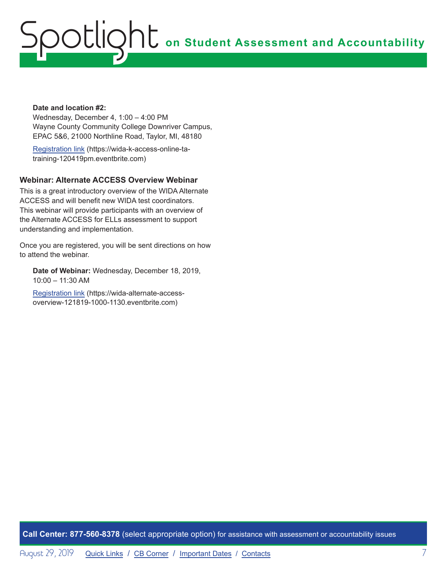#### **Date and location #2:**

Wednesday, December 4, 1:00 – 4:00 PM Wayne County Community College Downriver Campus, EPAC 5&6, 21000 Northline Road, Taylor, MI, 48180

[Registration link](https://wida-k-access-online-ta-training-120419pm.eventbrite.com) (https://wida-k-access-online-tatraining-120419pm.eventbrite.com)

#### **Webinar: Alternate ACCESS Overview Webinar**

This is a great introductory overview of the WIDA Alternate ACCESS and will benefit new WIDA test coordinators. This webinar will provide participants with an overview of the Alternate ACCESS for ELLs assessment to support understanding and implementation.

Once you are registered, you will be sent directions on how to attend the webinar.

**Date of Webinar:** Wednesday, December 18, 2019, 10:00 – 11:30 AM

[Registration link](https://wida-alternate-access-overview-121819-1000-1130.eventbrite.com) (https://wida-alternate-accessoverview-121819-1000-1130.eventbrite.com)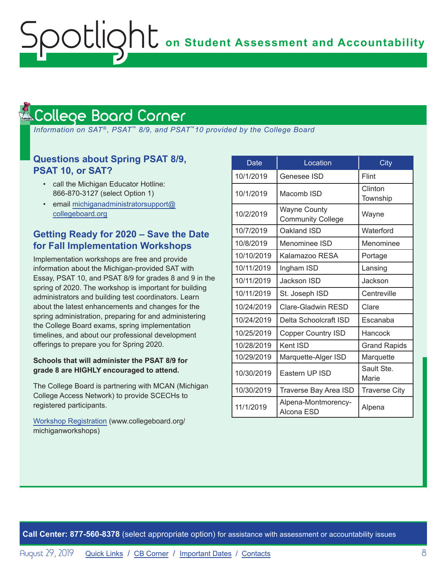#### <span id="page-7-1"></span>College Board Corner **Reminders**

<span id="page-7-0"></span>ootlic

 *Information on SAT*®*, PSAT*™ *8/9, and PSAT*™*10 provided by the College Board*

### **Questions about Spring PSAT 8/9, PSAT 10, or SAT?**

- call the Michigan Educator Hotline: 866-870-3127 (select Option 1)
- email [michiganadministratorsupport@](mailto:michiganadministratorsupport%40collegeboard.org?subject=) [collegeboard.org](mailto:michiganadministratorsupport%40collegeboard.org?subject=)

## **Getting Ready for 2020 – Save the Date for Fall Implementation Workshops**

Implementation workshops are free and provide information about the Michigan-provided SAT with Essay, PSAT 10, and PSAT 8/9 for grades 8 and 9 in the spring of 2020. The workshop is important for building administrators and building test coordinators. Learn about the latest enhancements and changes for the spring administration, preparing for and administering the College Board exams, spring implementation timelines, and about our professional development offerings to prepare you for Spring 2020.

#### **Schools that will administer the PSAT 8/9 for grade 8 are HIGHLY encouraged to attend.**

The College Board is partnering with MCAN (Michigan College Access Network) to provide SCECHs to registered participants.

[Workshop Registration](http://www.collegeboard.org/michiganworkshops) (www.collegeboard.org/ michiganworkshops)

| Date       | Location                                        | <b>City</b>          |
|------------|-------------------------------------------------|----------------------|
| 10/1/2019  | Genesee ISD                                     | Flint                |
| 10/1/2019  | Macomb ISD                                      | Clinton<br>Township  |
| 10/2/2019  | <b>Wayne County</b><br><b>Community College</b> | Wayne                |
| 10/7/2019  | Oakland ISD                                     | Waterford            |
| 10/8/2019  | Menominee ISD                                   | Menominee            |
| 10/10/2019 | Kalamazoo RESA                                  | Portage              |
| 10/11/2019 | Ingham ISD                                      | Lansing              |
| 10/11/2019 | Jackson ISD                                     | Jackson              |
| 10/11/2019 | St. Joseph ISD                                  | Centreville          |
| 10/24/2019 | <b>Clare-Gladwin RESD</b>                       | Clare                |
| 10/24/2019 | Delta Schoolcraft ISD                           | Escanaba             |
| 10/25/2019 | <b>Copper Country ISD</b>                       | Hancock              |
| 10/28/2019 | Kent ISD                                        | <b>Grand Rapids</b>  |
| 10/29/2019 | Marquette-Alger ISD                             | Marquette            |
| 10/30/2019 | Eastern UP ISD                                  | Sault Ste.<br>Marie  |
| 10/30/2019 | Traverse Bay Area ISD                           | <b>Traverse City</b> |
| 11/1/2019  | Alpena-Montmorency-<br>Alcona ESD               | Alpena               |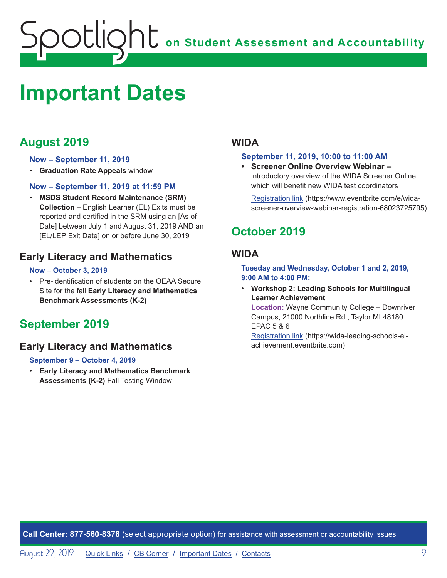## <span id="page-8-1"></span><span id="page-8-0"></span>**Important Dates**

## **August 2019**

#### **Now – September 11, 2019**

• **Graduation Rate Appeals** window

#### **Now – September 11, 2019 at 11:59 PM**

• **MSDS Student Record Maintenance (SRM) Collection** – English Learner (EL) Exits must be reported and certified in the SRM using an [As of Date] between July 1 and August 31, 2019 AND an [EL/LEP Exit Date] on or before June 30, 2019

## **Early Literacy and Mathematics**

#### **Now – October 3, 2019**

• Pre-identification of students on the OEAA Secure Site for the fall **Early Literacy and Mathematics Benchmark Assessments (K-2)**

## **September 2019**

## **Early Literacy and Mathematics**

#### **September 9 – October 4, 2019**

• **Early Literacy and Mathematics Benchmark Assessments (K-2)** Fall Testing Window

### **WIDA**

#### **September 11, 2019, 10:00 to 11:00 AM**

**• Screener Online Overview Webinar –**  introductory overview of the WIDA Screener Online which will benefit new WIDA test coordinators

[Registration link](https://www.eventbrite.com/e/wida-screener-overview-webinar-registration-68023725795) (https://www.eventbrite.com/e/widascreener-overview-webinar-registration-68023725795)

## **October 2019**

### **WIDA**

**Tuesday and Wednesday, October 1 and 2, 2019, 9:00 AM to 4:00 PM:** 

• **Workshop 2: Leading Schools for Multilingual Learner Achievement Location:** Wayne Community College – Downriver Campus, 21000 Northline Rd., Taylor MI 48180 EPAC 5 & 6

[Registration link](https://wida-leading-schools-el-achievement.eventbrite.com) (https://wida-leading-schools-elachievement.eventbrite.com)